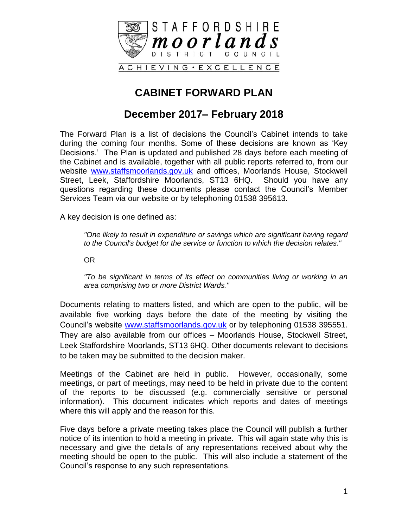

### **CABINET FORWARD PLAN**

#### **December 2017– February 2018**

The Forward Plan is a list of decisions the Council's Cabinet intends to take during the coming four months. Some of these decisions are known as 'Key Decisions.' The Plan is updated and published 28 days before each meeting of the Cabinet and is available, together with all public reports referred to, from our website [www.staffsmoorlands.gov.uk](http://www.staffsmoorlands.gov.uk/) and offices, Moorlands House, Stockwell Street, Leek, Staffordshire Moorlands, ST13 6HQ. Should you have any questions regarding these documents please contact the Council's Member Services Team via our website or by telephoning 01538 395613.

A key decision is one defined as:

*"One likely to result in expenditure or savings which are significant having regard to the Council's budget for the service or function to which the decision relates."*

OR

*"To be significant in terms of its effect on communities living or working in an area comprising two or more District Wards."*

Documents relating to matters listed, and which are open to the public, will be available five working days before the date of the meeting by visiting the Council's website [www.staffsmoorlands.gov.uk](http://www.staffsmoorlands.gov.uk/) or by telephoning 01538 395551. They are also available from our offices – Moorlands House, Stockwell Street, Leek Staffordshire Moorlands, ST13 6HQ. Other documents relevant to decisions to be taken may be submitted to the decision maker.

Meetings of the Cabinet are held in public. However, occasionally, some meetings, or part of meetings, may need to be held in private due to the content of the reports to be discussed (e.g. commercially sensitive or personal information). This document indicates which reports and dates of meetings where this will apply and the reason for this.

Five days before a private meeting takes place the Council will publish a further notice of its intention to hold a meeting in private. This will again state why this is necessary and give the details of any representations received about why the meeting should be open to the public. This will also include a statement of the Council's response to any such representations.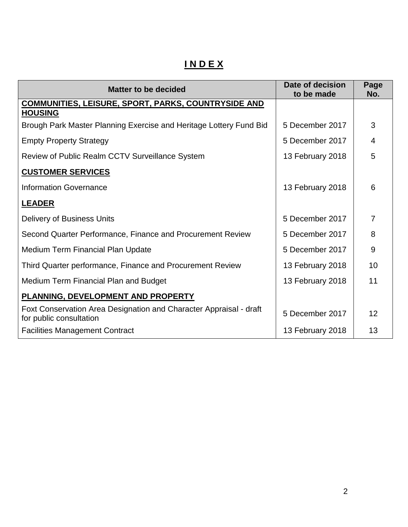# **I N D E X**

| <b>Matter to be decided</b>                                                                   | Date of decision<br>to be made | Page<br>No.    |
|-----------------------------------------------------------------------------------------------|--------------------------------|----------------|
| <b>COMMUNITIES, LEISURE, SPORT, PARKS, COUNTRYSIDE AND</b><br><b>HOUSING</b>                  |                                |                |
| Brough Park Master Planning Exercise and Heritage Lottery Fund Bid                            | 5 December 2017                | 3              |
| <b>Empty Property Strategy</b>                                                                | 5 December 2017                | 4              |
| Review of Public Realm CCTV Surveillance System                                               | 13 February 2018               | 5              |
| <b>CUSTOMER SERVICES</b>                                                                      |                                |                |
| <b>Information Governance</b>                                                                 | 13 February 2018               | 6              |
| <b>LEADER</b>                                                                                 |                                |                |
| <b>Delivery of Business Units</b>                                                             | 5 December 2017                | $\overline{7}$ |
| Second Quarter Performance, Finance and Procurement Review                                    | 5 December 2017                | 8              |
| <b>Medium Term Financial Plan Update</b>                                                      | 5 December 2017                | 9              |
| Third Quarter performance, Finance and Procurement Review                                     | 13 February 2018               | 10             |
| Medium Term Financial Plan and Budget                                                         | 13 February 2018               | 11             |
| PLANNING, DEVELOPMENT AND PROPERTY                                                            |                                |                |
| Foxt Conservation Area Designation and Character Appraisal - draft<br>for public consultation | 5 December 2017                | 12             |
| <b>Facilities Management Contract</b>                                                         | 13 February 2018               | 13             |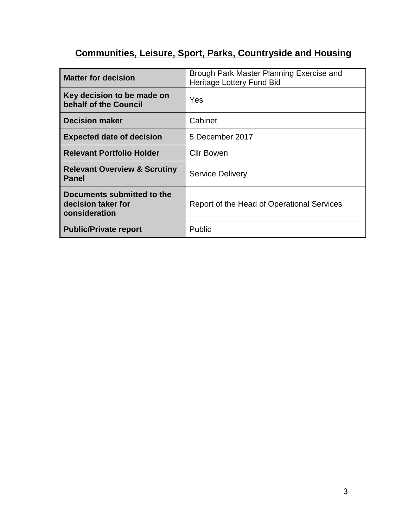# **Communities, Leisure, Sport, Parks, Countryside and Housing**

| <b>Matter for decision</b>                                        | Brough Park Master Planning Exercise and<br>Heritage Lottery Fund Bid |
|-------------------------------------------------------------------|-----------------------------------------------------------------------|
| Key decision to be made on<br>behalf of the Council               | Yes                                                                   |
| <b>Decision maker</b>                                             | Cabinet                                                               |
| <b>Expected date of decision</b>                                  | 5 December 2017                                                       |
| <b>Relevant Portfolio Holder</b>                                  | Cllr Bowen                                                            |
| <b>Relevant Overview &amp; Scrutiny</b><br><b>Panel</b>           | <b>Service Delivery</b>                                               |
| Documents submitted to the<br>decision taker for<br>consideration | Report of the Head of Operational Services                            |
| <b>Public/Private report</b>                                      | Public                                                                |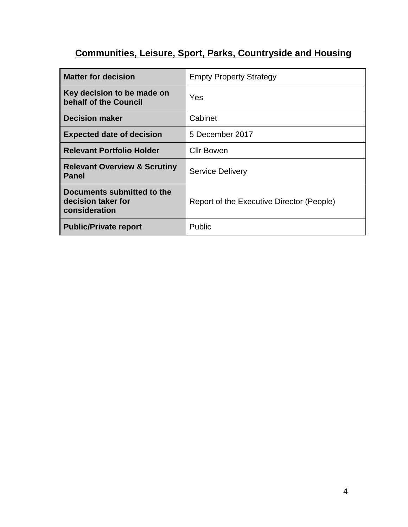# **Communities, Leisure, Sport, Parks, Countryside and Housing**

| <b>Matter for decision</b>                                        | <b>Empty Property Strategy</b>            |
|-------------------------------------------------------------------|-------------------------------------------|
| Key decision to be made on<br>behalf of the Council               | Yes                                       |
| <b>Decision maker</b>                                             | Cabinet                                   |
| <b>Expected date of decision</b>                                  | 5 December 2017                           |
| <b>Relevant Portfolio Holder</b>                                  | <b>Cllr Bowen</b>                         |
| <b>Relevant Overview &amp; Scrutiny</b><br><b>Panel</b>           | <b>Service Delivery</b>                   |
| Documents submitted to the<br>decision taker for<br>consideration | Report of the Executive Director (People) |
| <b>Public/Private report</b>                                      | Public                                    |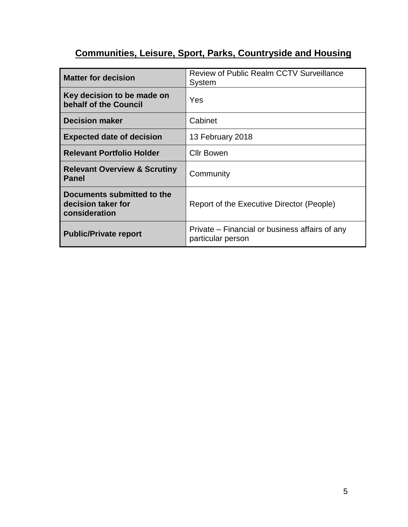# **Communities, Leisure, Sport, Parks, Countryside and Housing**

| <b>Matter for decision</b>                                        | <b>Review of Public Realm CCTV Surveillance</b><br>System           |
|-------------------------------------------------------------------|---------------------------------------------------------------------|
| Key decision to be made on<br>behalf of the Council               | Yes                                                                 |
| <b>Decision maker</b>                                             | Cabinet                                                             |
| <b>Expected date of decision</b>                                  | 13 February 2018                                                    |
| <b>Relevant Portfolio Holder</b>                                  | <b>Cllr Bowen</b>                                                   |
| <b>Relevant Overview &amp; Scrutiny</b><br><b>Panel</b>           | Community                                                           |
| Documents submitted to the<br>decision taker for<br>consideration | Report of the Executive Director (People)                           |
| <b>Public/Private report</b>                                      | Private – Financial or business affairs of any<br>particular person |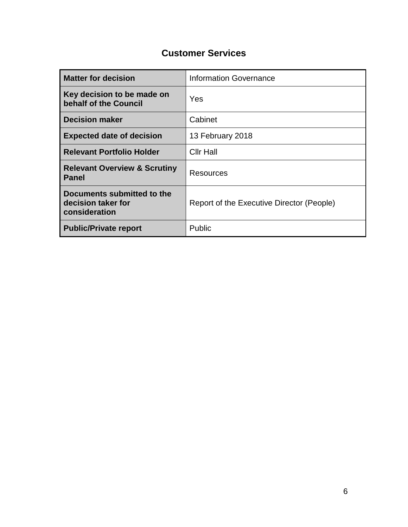#### **Customer Services**

| <b>Matter for decision</b>                                        | <b>Information Governance</b>             |
|-------------------------------------------------------------------|-------------------------------------------|
| Key decision to be made on<br>behalf of the Council               | Yes                                       |
| <b>Decision maker</b>                                             | Cabinet                                   |
| <b>Expected date of decision</b>                                  | 13 February 2018                          |
| <b>Relevant Portfolio Holder</b>                                  | <b>Cllr Hall</b>                          |
| <b>Relevant Overview &amp; Scrutiny</b><br><b>Panel</b>           | Resources                                 |
| Documents submitted to the<br>decision taker for<br>consideration | Report of the Executive Director (People) |
| <b>Public/Private report</b>                                      | Public                                    |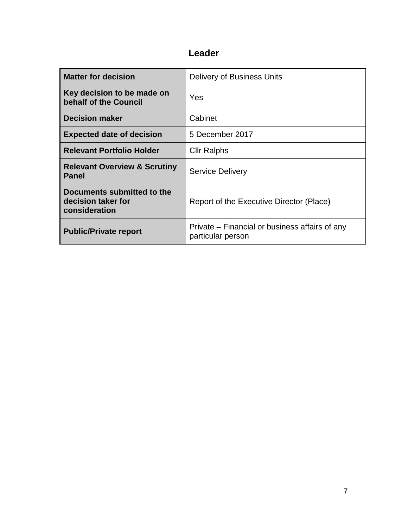| <b>Matter for decision</b>                                        | Delivery of Business Units                                          |
|-------------------------------------------------------------------|---------------------------------------------------------------------|
| Key decision to be made on<br>behalf of the Council               | Yes                                                                 |
| <b>Decision maker</b>                                             | Cabinet                                                             |
| <b>Expected date of decision</b>                                  | 5 December 2017                                                     |
| <b>Relevant Portfolio Holder</b>                                  | <b>Cllr Ralphs</b>                                                  |
| <b>Relevant Overview &amp; Scrutiny</b><br><b>Panel</b>           | <b>Service Delivery</b>                                             |
| Documents submitted to the<br>decision taker for<br>consideration | Report of the Executive Director (Place)                            |
| <b>Public/Private report</b>                                      | Private – Financial or business affairs of any<br>particular person |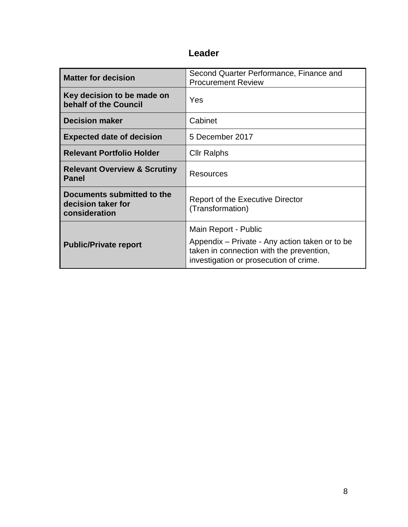| <b>Matter for decision</b>                                        | Second Quarter Performance, Finance and<br><b>Procurement Review</b>                                                                 |
|-------------------------------------------------------------------|--------------------------------------------------------------------------------------------------------------------------------------|
| Key decision to be made on<br>behalf of the Council               | Yes                                                                                                                                  |
| <b>Decision maker</b>                                             | Cabinet                                                                                                                              |
| <b>Expected date of decision</b>                                  | 5 December 2017                                                                                                                      |
| <b>Relevant Portfolio Holder</b>                                  | <b>Cllr Ralphs</b>                                                                                                                   |
| <b>Relevant Overview &amp; Scrutiny</b><br><b>Panel</b>           | Resources                                                                                                                            |
| Documents submitted to the<br>decision taker for<br>consideration | <b>Report of the Executive Director</b><br>(Transformation)                                                                          |
|                                                                   | Main Report - Public                                                                                                                 |
| <b>Public/Private report</b>                                      | Appendix – Private - Any action taken or to be<br>taken in connection with the prevention,<br>investigation or prosecution of crime. |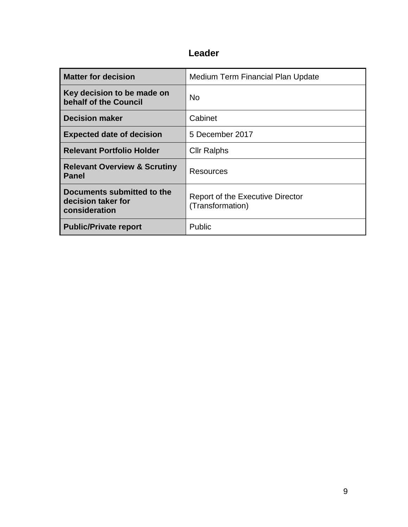| <b>Matter for decision</b>                                        | Medium Term Financial Plan Update                           |
|-------------------------------------------------------------------|-------------------------------------------------------------|
| Key decision to be made on<br>behalf of the Council               | <b>No</b>                                                   |
| <b>Decision maker</b>                                             | Cabinet                                                     |
| <b>Expected date of decision</b>                                  | 5 December 2017                                             |
| <b>Relevant Portfolio Holder</b>                                  | <b>Cllr Ralphs</b>                                          |
| <b>Relevant Overview &amp; Scrutiny</b><br><b>Panel</b>           | <b>Resources</b>                                            |
| Documents submitted to the<br>decision taker for<br>consideration | <b>Report of the Executive Director</b><br>(Transformation) |
| <b>Public/Private report</b>                                      | Public                                                      |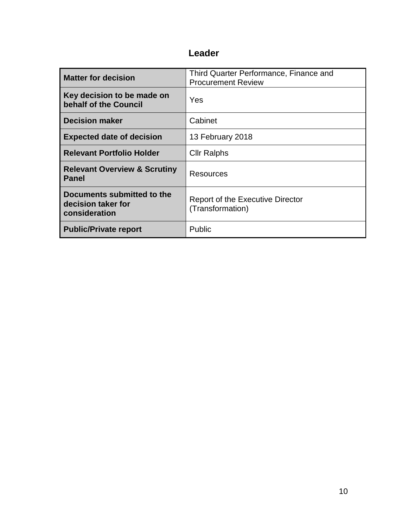| <b>Matter for decision</b>                                        | Third Quarter Performance, Finance and<br><b>Procurement Review</b> |
|-------------------------------------------------------------------|---------------------------------------------------------------------|
| Key decision to be made on<br>behalf of the Council               | Yes                                                                 |
| <b>Decision maker</b>                                             | Cabinet                                                             |
| <b>Expected date of decision</b>                                  | 13 February 2018                                                    |
| <b>Relevant Portfolio Holder</b>                                  | <b>Cllr Ralphs</b>                                                  |
| <b>Relevant Overview &amp; Scrutiny</b><br><b>Panel</b>           | Resources                                                           |
| Documents submitted to the<br>decision taker for<br>consideration | <b>Report of the Executive Director</b><br>(Transformation)         |
| <b>Public/Private report</b>                                      | Public                                                              |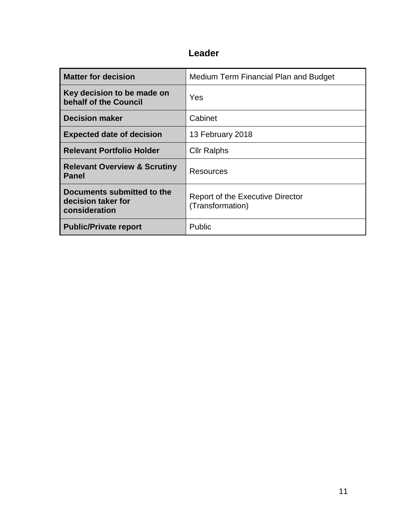| <b>Matter for decision</b>                                        | Medium Term Financial Plan and Budget                       |
|-------------------------------------------------------------------|-------------------------------------------------------------|
| Key decision to be made on<br>behalf of the Council               | Yes                                                         |
| <b>Decision maker</b>                                             | Cabinet                                                     |
| <b>Expected date of decision</b>                                  | 13 February 2018                                            |
| <b>Relevant Portfolio Holder</b>                                  | <b>Cllr Ralphs</b>                                          |
| <b>Relevant Overview &amp; Scrutiny</b><br><b>Panel</b>           | Resources                                                   |
| Documents submitted to the<br>decision taker for<br>consideration | <b>Report of the Executive Director</b><br>(Transformation) |
| <b>Public/Private report</b>                                      | Public                                                      |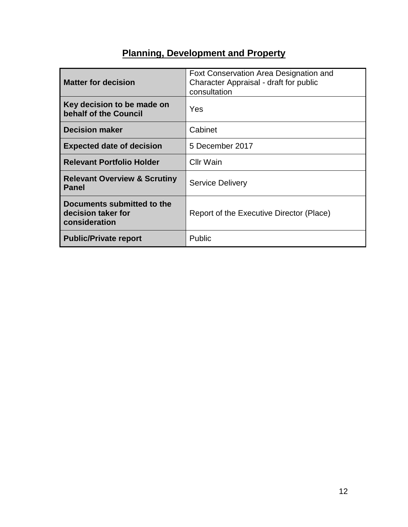# **Planning, Development and Property**

| <b>Matter for decision</b>                                        | Foxt Conservation Area Designation and<br>Character Appraisal - draft for public<br>consultation |
|-------------------------------------------------------------------|--------------------------------------------------------------------------------------------------|
| Key decision to be made on<br>behalf of the Council               | Yes                                                                                              |
| <b>Decision maker</b>                                             | Cabinet                                                                                          |
| <b>Expected date of decision</b>                                  | 5 December 2017                                                                                  |
| <b>Relevant Portfolio Holder</b>                                  | <b>Cllr Wain</b>                                                                                 |
| <b>Relevant Overview &amp; Scrutiny</b><br><b>Panel</b>           | <b>Service Delivery</b>                                                                          |
| Documents submitted to the<br>decision taker for<br>consideration | Report of the Executive Director (Place)                                                         |
| <b>Public/Private report</b>                                      | Public                                                                                           |